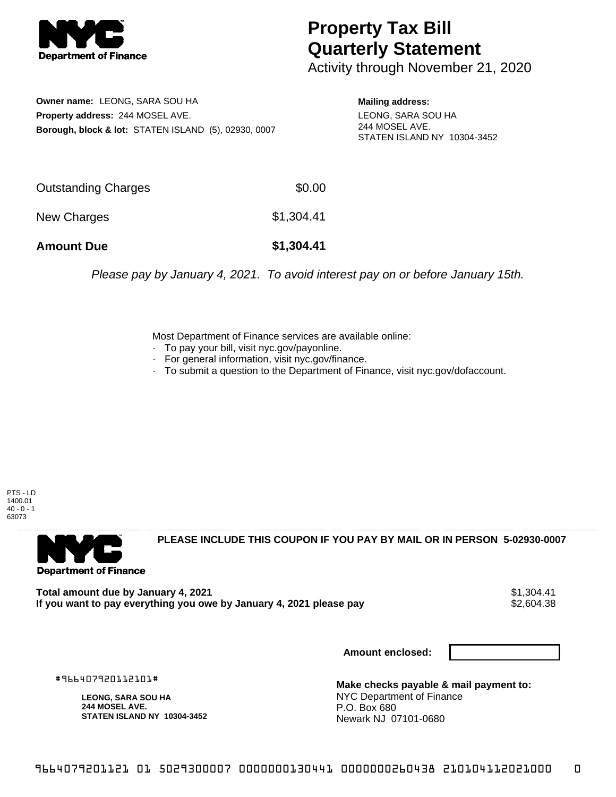

## **Property Tax Bill Quarterly Statement**

Activity through November 21, 2020

**Owner name:** LEONG, SARA SOU HA **Property address:** 244 MOSEL AVE. **Borough, block & lot:** STATEN ISLAND (5), 02930, 0007

**Mailing address:** LEONG, SARA SOU HA 244 MOSEL AVE. STATEN ISLAND NY 10304-3452

| <b>Amount Due</b>   | \$1,304.41 |
|---------------------|------------|
| New Charges         | \$1,304.41 |
| Outstanding Charges | \$0.00     |

Please pay by January 4, 2021. To avoid interest pay on or before January 15th.

Most Department of Finance services are available online:

- · To pay your bill, visit nyc.gov/payonline.
- For general information, visit nyc.gov/finance.
- · To submit a question to the Department of Finance, visit nyc.gov/dofaccount.

PTS - LD 1400.01  $40 - 0 - 1$ 63073



**PLEASE INCLUDE THIS COUPON IF YOU PAY BY MAIL OR IN PERSON 5-02930-0007** 

**Total amount due by January 4, 2021**<br>If you want to pay everything you owe by January 4, 2021 please pay **show that the set of the set of the set of** If you want to pay everything you owe by January 4, 2021 please pay

**Amount enclosed:**

#966407920112101#

**LEONG, SARA SOU HA 244 MOSEL AVE. STATEN ISLAND NY 10304-3452**

**Make checks payable & mail payment to:** NYC Department of Finance P.O. Box 680 Newark NJ 07101-0680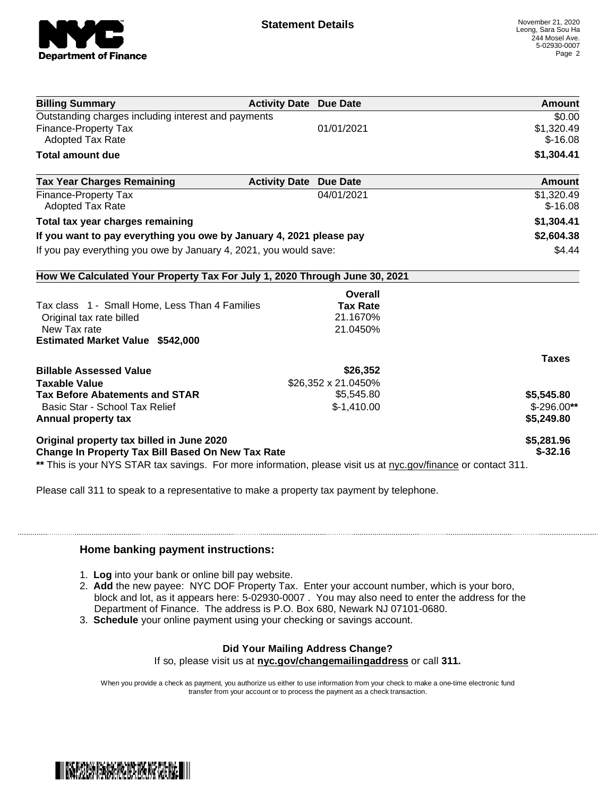

| 01/01/2021                                                                 | \$0.00<br>\$1,320.49<br>$$-16.08$                                                                              |
|----------------------------------------------------------------------------|----------------------------------------------------------------------------------------------------------------|
|                                                                            |                                                                                                                |
|                                                                            |                                                                                                                |
|                                                                            |                                                                                                                |
|                                                                            | \$1,304.41                                                                                                     |
| <b>Activity Date</b><br><b>Due Date</b>                                    | Amount                                                                                                         |
| 04/01/2021                                                                 | \$1,320.49                                                                                                     |
|                                                                            | $$-16.08$                                                                                                      |
|                                                                            | \$1,304.41                                                                                                     |
| If you want to pay everything you owe by January 4, 2021 please pay        | \$2,604.38                                                                                                     |
| If you pay everything you owe by January 4, 2021, you would save:          | \$4.44                                                                                                         |
| How We Calculated Your Property Tax For July 1, 2020 Through June 30, 2021 |                                                                                                                |
| Overall                                                                    |                                                                                                                |
| <b>Tax Rate</b>                                                            |                                                                                                                |
| 21.1670%                                                                   |                                                                                                                |
| 21.0450%                                                                   |                                                                                                                |
|                                                                            |                                                                                                                |
|                                                                            | <b>Taxes</b>                                                                                                   |
| \$26,352                                                                   |                                                                                                                |
| \$26,352 x 21.0450%                                                        |                                                                                                                |
| \$5,545.80                                                                 | \$5,545.80                                                                                                     |
| $$-1,410.00$                                                               | $$-296.00**$                                                                                                   |
|                                                                            | \$5,249.80                                                                                                     |
|                                                                            | \$5,281.96                                                                                                     |
|                                                                            | $$ -32.16$                                                                                                     |
|                                                                            | ** This is your NYS STAR tax savings. For more information, please visit us at nyc.gov/finance or contact 311. |

Please call 311 to speak to a representative to make a property tax payment by telephone.

## **Home banking payment instructions:**

- 1. **Log** into your bank or online bill pay website.
- 2. **Add** the new payee: NYC DOF Property Tax. Enter your account number, which is your boro, block and lot, as it appears here: 5-02930-0007 . You may also need to enter the address for the Department of Finance. The address is P.O. Box 680, Newark NJ 07101-0680.
- 3. **Schedule** your online payment using your checking or savings account.

## **Did Your Mailing Address Change?**

If so, please visit us at **nyc.gov/changemailingaddress** or call **311.**

When you provide a check as payment, you authorize us either to use information from your check to make a one-time electronic fund transfer from your account or to process the payment as a check transaction.